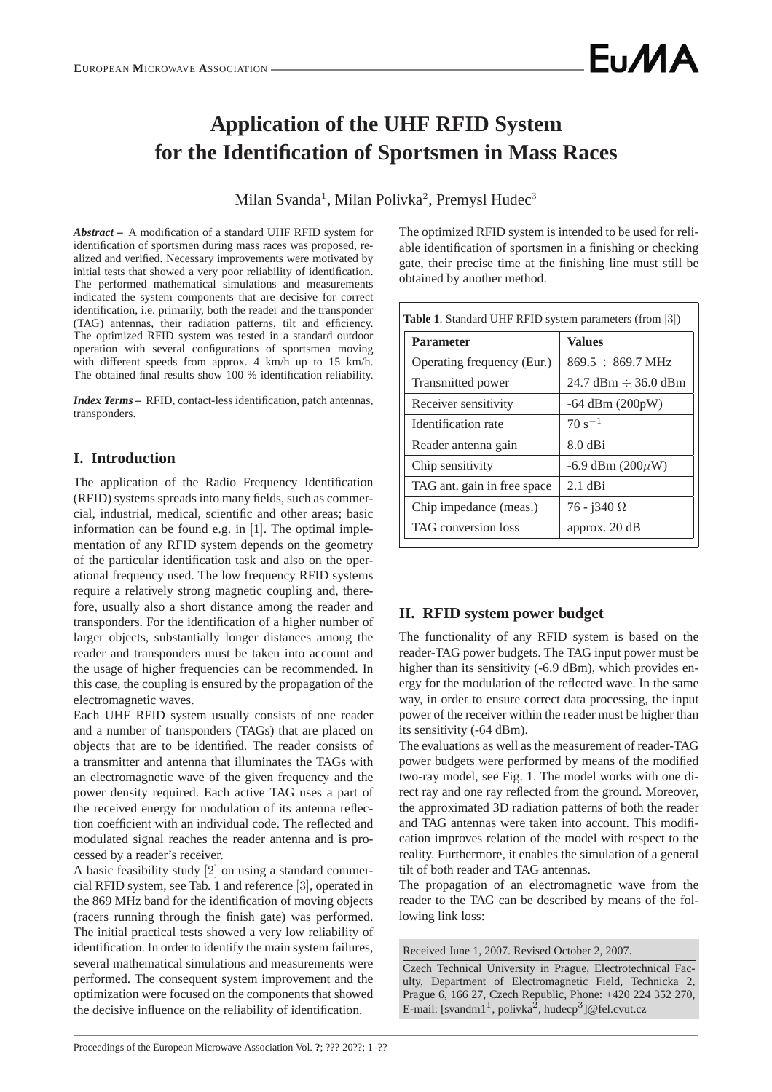# **Application of the UHF RFID System for the Identification of Sportsmen in Mass Races**

Milan Svanda<sup>1</sup>, Milan Polivka<sup>2</sup>, Premysl Hudec<sup>3</sup>

*Abstract* **–** A modification of a standard UHF RFID system for identification of sportsmen during mass races was proposed, realized and verified. Necessary improvements were motivated by initial tests that showed a very poor reliability of identification. The performed mathematical simulations and measurements indicated the system components that are decisive for correct identification, i.e. primarily, both the reader and the transponder (TAG) antennas, their radiation patterns, tilt and efficiency. The optimized RFID system was tested in a standard outdoor operation with several configurations of sportsmen moving with different speeds from approx. 4 km/h up to 15 km/h. The obtained final results show 100 % identification reliability.

*Index Terms* **–** RFID, contact-less identification, patch antennas, transponders.

# **I. Introduction**

The application of the Radio Frequency Identification (RFID) systems spreads into many fields, such as commercial, industrial, medical, scientific and other areas; basic information can be found e.g. in [1]. The optimal implementation of any RFID system depends on the geometry of the particular identification task and also on the operational frequency used. The low frequency RFID systems require a relatively strong magnetic coupling and, therefore, usually also a short distance among the reader and transponders. For the identification of a higher number of larger objects, substantially longer distances among the reader and transponders must be taken into account and the usage of higher frequencies can be recommended. In this case, the coupling is ensured by the propagation of the electromagnetic waves.

Each UHF RFID system usually consists of one reader and a number of transponders (TAGs) that are placed on objects that are to be identified. The reader consists of a transmitter and antenna that illuminates the TAGs with an electromagnetic wave of the given frequency and the power density required. Each active TAG uses a part of the received energy for modulation of its antenna reflection coefficient with an individual code. The reflected and modulated signal reaches the reader antenna and is processed by a reader's receiver.

A basic feasibility study [2] on using a standard commercial RFID system, see Tab. 1 and reference [3], operated in the 869 MHz band for the identification of moving objects (racers running through the finish gate) was performed. The initial practical tests showed a very low reliability of identification. In order to identify the main system failures, several mathematical simulations and measurements were performed. The consequent system improvement and the optimization were focused on the components that showed the decisive influence on the reliability of identification.

The optimized RFID system is intended to be used for reliable identification of sportsmen in a finishing or checking gate, their precise time at the finishing line must still be obtained by another method.

| <b>Parameter</b>            | <b>Values</b>                            |  |
|-----------------------------|------------------------------------------|--|
| Operating frequency (Eur.)  | $869.5 \div 869.7 \text{ MHz}$           |  |
| Transmitted power           | $24.7 \text{ dBm} \div 36.0 \text{ dBm}$ |  |
| Receiver sensitivity        | $-64$ dBm $(200pW)$                      |  |
| Identification rate         | $70 s^{-1}$                              |  |
| Reader antenna gain         | $8.0$ dBi                                |  |
| Chip sensitivity            | $-6.9$ dBm $(200\mu W)$                  |  |
| TAG ant. gain in free space | $2.1$ dBi                                |  |
| Chip impedance (meas.)      | $76 - j340 \Omega$                       |  |
| <b>TAG</b> conversion loss  | approx. $20 dB$                          |  |

# **II. RFID system power budget**

The functionality of any RFID system is based on the reader-TAG power budgets. The TAG input power must be higher than its sensitivity (-6.9 dBm), which provides energy for the modulation of the reflected wave. In the same way, in order to ensure correct data processing, the input power of the receiver within the reader must be higher than its sensitivity (-64 dBm).

The evaluations as well as the measurement of reader-TAG power budgets were performed by means of the modified two-ray model, see Fig. 1. The model works with one direct ray and one ray reflected from the ground. Moreover, the approximated 3D radiation patterns of both the reader and TAG antennas were taken into account. This modification improves relation of the model with respect to the reality. Furthermore, it enables the simulation of a general tilt of both reader and TAG antennas.

The propagation of an electromagnetic wave from the reader to the TAG can be described by means of the following link loss:

Received June 1, 2007. Revised October 2, 2007.

Czech Technical University in Prague, Electrotechnical Faculty, Department of Electromagnetic Field, Technicka 2, Prague 6, 166 27, Czech Republic, Phone: +420 224 352 270, E-mail: [svandm1<sup>1</sup>, polivka<sup>2</sup>, hudecp<sup>3</sup>]@fel.cvut.cz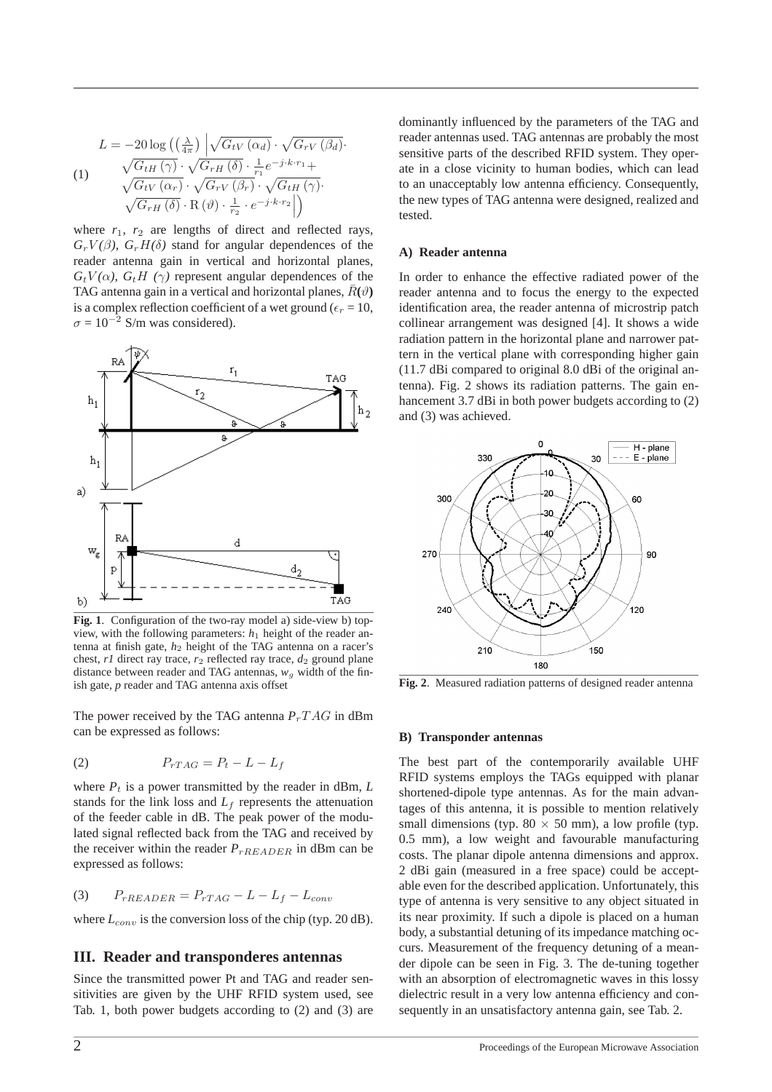$$
L = -20 \log \left( \left( \frac{\lambda}{4\pi} \right) \left| \sqrt{G_{tV} \left( \alpha_d \right)} \cdot \sqrt{G_{rV} \left( \beta_d \right)} \right. \right)
$$
  
\n
$$
(1) \quad \sqrt{G_{tH} \left( \gamma \right)} \cdot \sqrt{G_{rH} \left( \delta \right)} \cdot \frac{1}{r_1} e^{-j \cdot k \cdot r_1} + \sqrt{G_{tV} \left( \alpha_r \right)} \cdot \sqrt{G_{rV} \left( \beta_r \right)} \cdot \sqrt{G_{tH} \left( \gamma \right)} \cdot \sqrt{G_{rH} \left( \delta \right)} \cdot \text{R} \left( \vartheta \right) \cdot \frac{1}{r_2} \cdot e^{-j \cdot k \cdot r_2} \right)
$$

where  $r_1$ ,  $r_2$  are lengths of direct and reflected rays,  $G_r V(\beta)$ ,  $G_r H(\delta)$  stand for angular dependences of the reader antenna gain in vertical and horizontal planes,  $G_t V(\alpha)$ ,  $G_t H(\gamma)$  represent angular dependences of the TAG antenna gain in a vertical and horizontal planes,  $\bar{R}(\vartheta)$ is a complex reflection coefficient of a wet ground ( $\epsilon_r = 10$ ,  $\sigma = 10^{-2}$  S/m was considered).



**Fig. 1**. Configuration of the two-ray model a) side-view b) topview, with the following parameters: *h*<sup>1</sup> height of the reader antenna at finish gate,  $h_2$  height of the TAG antenna on a racer's chest,  $r1$  direct ray trace,  $r_2$  reflected ray trace,  $d_2$  ground plane distance between reader and TAG antennas,  $w_g$  width of the finish gate, *p* reader and TAG antenna axis offset

The power received by the TAG antenna  $P_rTAG$  in dBm can be expressed as follows:

$$
(2) \t\t P_{rTAG} = P_t - L - L_f
$$

where  $P_t$  is a power transmitted by the reader in dBm,  $L$ stands for the link loss and  $L_f$  represents the attenuation of the feeder cable in dB. The peak power of the modulated signal reflected back from the TAG and received by the receiver within the reader  $P_{rREADER}$  in dBm can be expressed as follows:

$$
(3) \qquad P_{rREADER} = P_{rTAG} - L - L_f - L_{conv}
$$

where  $L_{conv}$  is the conversion loss of the chip (typ. 20 dB).

#### **III. Reader and transponderes antennas**

Since the transmitted power Pt and TAG and reader sensitivities are given by the UHF RFID system used, see Tab. 1, both power budgets according to (2) and (3) are dominantly influenced by the parameters of the TAG and reader antennas used. TAG antennas are probably the most sensitive parts of the described RFID system. They operate in a close vicinity to human bodies, which can lead to an unacceptably low antenna efficiency. Consequently, the new types of TAG antenna were designed, realized and tested.

#### **A) Reader antenna**

In order to enhance the effective radiated power of the reader antenna and to focus the energy to the expected identification area, the reader antenna of microstrip patch collinear arrangement was designed [4]. It shows a wide radiation pattern in the horizontal plane and narrower pattern in the vertical plane with corresponding higher gain (11.7 dBi compared to original 8.0 dBi of the original antenna). Fig. 2 shows its radiation patterns. The gain enhancement 3.7 dBi in both power budgets according to (2) and (3) was achieved.



**Fig. 2**. Measured radiation patterns of designed reader antenna

#### **B) Transponder antennas**

The best part of the contemporarily available UHF RFID systems employs the TAGs equipped with planar shortened-dipole type antennas. As for the main advantages of this antenna, it is possible to mention relatively small dimensions (typ.  $80 \times 50$  mm), a low profile (typ. 0.5 mm), a low weight and favourable manufacturing costs. The planar dipole antenna dimensions and approx. 2 dBi gain (measured in a free space) could be acceptable even for the described application. Unfortunately, this type of antenna is very sensitive to any object situated in its near proximity. If such a dipole is placed on a human body, a substantial detuning of its impedance matching occurs. Measurement of the frequency detuning of a meander dipole can be seen in Fig. 3. The de-tuning together with an absorption of electromagnetic waves in this lossy dielectric result in a very low antenna efficiency and consequently in an unsatisfactory antenna gain, see Tab. 2.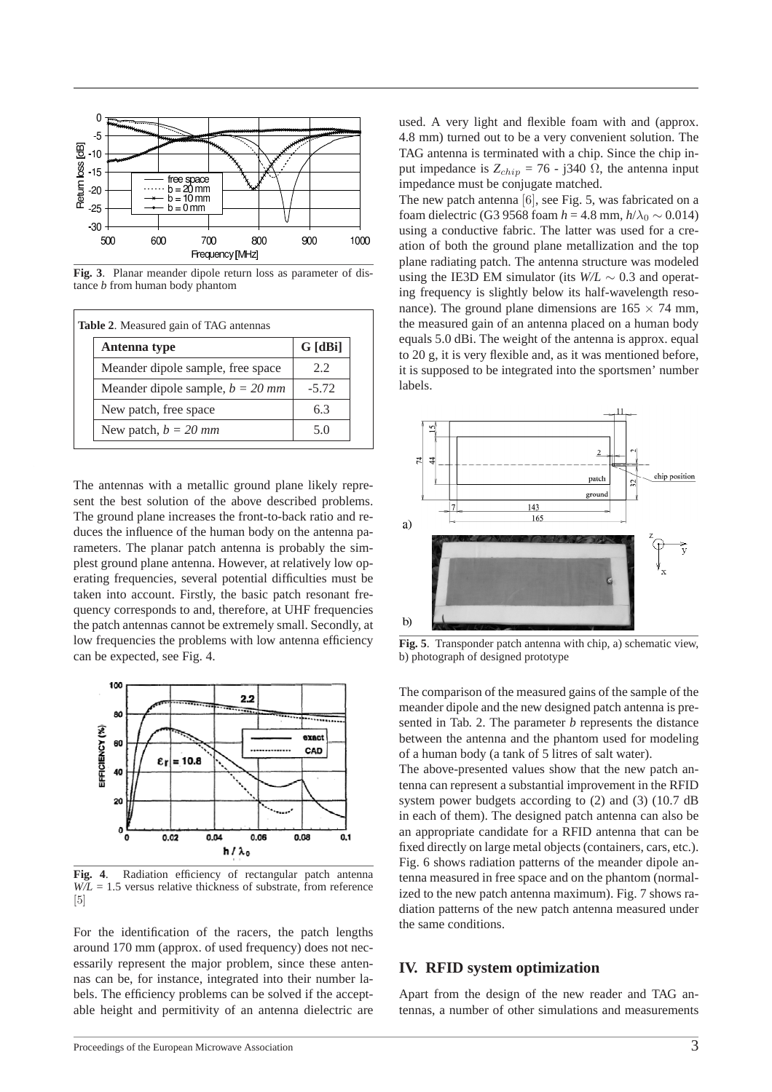

**Fig. 3**. Planar meander dipole return loss as parameter of distance *b* from human body phantom

| Antenna type                       | G [dBi] |
|------------------------------------|---------|
| Meander dipole sample, free space  | 2.2     |
| Meander dipole sample, $b = 20$ mm | $-5.72$ |
| New patch, free space              | 63      |
| New patch, $b = 20$ mm             | 5.0     |

The antennas with a metallic ground plane likely represent the best solution of the above described problems. The ground plane increases the front-to-back ratio and reduces the influence of the human body on the antenna parameters. The planar patch antenna is probably the simplest ground plane antenna. However, at relatively low operating frequencies, several potential difficulties must be taken into account. Firstly, the basic patch resonant frequency corresponds to and, therefore, at UHF frequencies the patch antennas cannot be extremely small. Secondly, at low frequencies the problems with low antenna efficiency can be expected, see Fig. 4.



**Fig. 4**. Radiation efficiency of rectangular patch antenna  $W/L = 1.5$  versus relative thickness of substrate, from reference [5]

For the identification of the racers, the patch lengths around 170 mm (approx. of used frequency) does not necessarily represent the major problem, since these antennas can be, for instance, integrated into their number labels. The efficiency problems can be solved if the acceptable height and permitivity of an antenna dielectric are

used. A very light and flexible foam with and (approx. 4.8 mm) turned out to be a very convenient solution. The TAG antenna is terminated with a chip. Since the chip input impedance is  $Z_{chip} = 76 - j340 \Omega$ , the antenna input impedance must be conjugate matched.

The new patch antenna [6], see Fig. 5, was fabricated on a foam dielectric (G3 9568 foam  $h = 4.8$  mm,  $h/\lambda_0 \sim 0.014$ ) using a conductive fabric. The latter was used for a creation of both the ground plane metallization and the top plane radiating patch. The antenna structure was modeled using the IE3D EM simulator (its *W/L* ∼ 0.3 and operating frequency is slightly below its half-wavelength resonance). The ground plane dimensions are  $165 \times 74$  mm, the measured gain of an antenna placed on a human body equals 5.0 dBi. The weight of the antenna is approx. equal to 20 g, it is very flexible and, as it was mentioned before, it is supposed to be integrated into the sportsmen' number labels.



**Fig. 5**. Transponder patch antenna with chip, a) schematic view, b) photograph of designed prototype

The comparison of the measured gains of the sample of the meander dipole and the new designed patch antenna is presented in Tab. 2. The parameter *b* represents the distance between the antenna and the phantom used for modeling of a human body (a tank of 5 litres of salt water).

The above-presented values show that the new patch antenna can represent a substantial improvement in the RFID system power budgets according to (2) and (3) (10.7 dB in each of them). The designed patch antenna can also be an appropriate candidate for a RFID antenna that can be fixed directly on large metal objects (containers, cars, etc.). Fig. 6 shows radiation patterns of the meander dipole antenna measured in free space and on the phantom (normalized to the new patch antenna maximum). Fig. 7 shows radiation patterns of the new patch antenna measured under the same conditions.

## **IV. RFID system optimization**

Apart from the design of the new reader and TAG antennas, a number of other simulations and measurements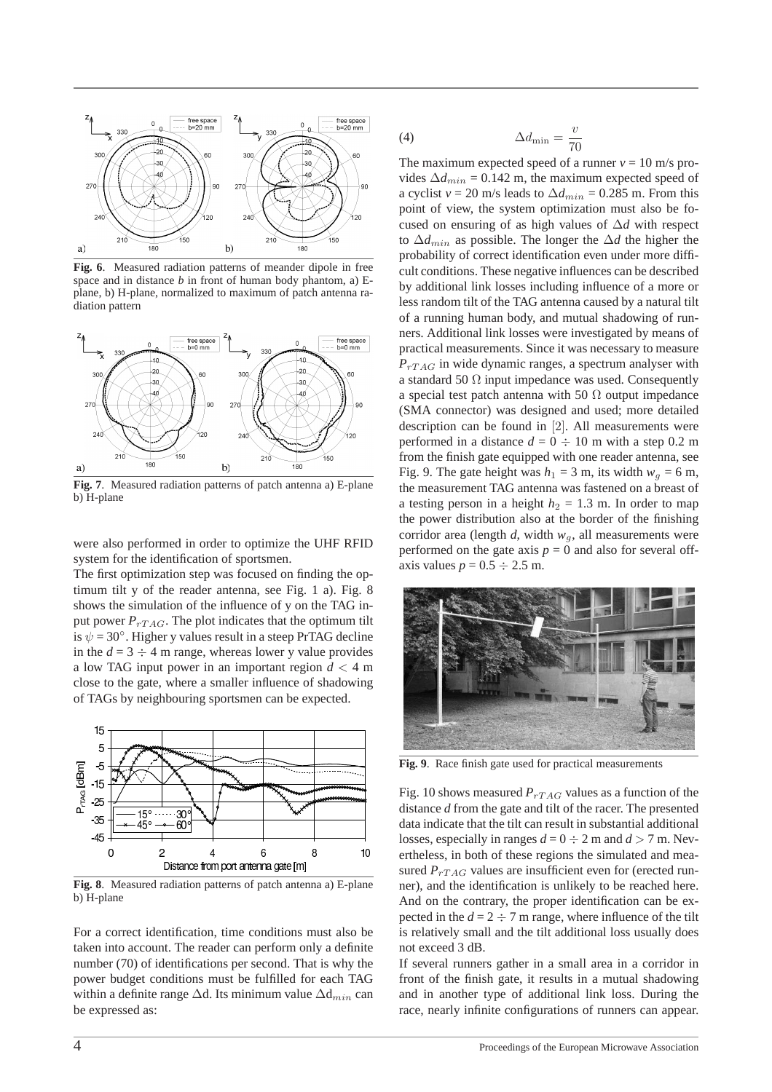

**Fig. 6**. Measured radiation patterns of meander dipole in free space and in distance *b* in front of human body phantom, a) Eplane, b) H-plane, normalized to maximum of patch antenna radiation pattern



**Fig. 7**. Measured radiation patterns of patch antenna a) E-plane b) H-plane

were also performed in order to optimize the UHF RFID system for the identification of sportsmen.

The first optimization step was focused on finding the optimum tilt y of the reader antenna, see Fig. 1 a). Fig. 8 shows the simulation of the influence of y on the TAG input power  $P_{TTAG}$ . The plot indicates that the optimum tilt is  $\psi = 30^\circ$ . Higher y values result in a steep PrTAG decline in the  $d = 3 \div 4$  m range, whereas lower y value provides a low TAG input power in an important region *d* < 4 m close to the gate, where a smaller influence of shadowing of TAGs by neighbouring sportsmen can be expected.



**Fig. 8**. Measured radiation patterns of patch antenna a) E-plane b) H-plane

For a correct identification, time conditions must also be taken into account. The reader can perform only a definite number (70) of identifications per second. That is why the power budget conditions must be fulfilled for each TAG within a definite range  $\Delta d$ . Its minimum value  $\Delta d_{min}$  can be expressed as:

$$
\Delta d_{\min} = \frac{v}{70}
$$

The maximum expected speed of a runner  $v = 10$  m/s provides  $\Delta d_{min} = 0.142$  m, the maximum expected speed of a cyclist *v* = 20 m/s leads to  $\Delta d_{min}$  = 0.285 m. From this point of view, the system optimization must also be focused on ensuring of as high values of ∆*d* with respect to ∆*d*min as possible. The longer the ∆*d* the higher the probability of correct identification even under more difficult conditions. These negative influences can be described by additional link losses including influence of a more or less random tilt of the TAG antenna caused by a natural tilt of a running human body, and mutual shadowing of runners. Additional link losses were investigated by means of practical measurements. Since it was necessary to measure  $P_{rTAG}$  in wide dynamic ranges, a spectrum analyser with a standard 50  $\Omega$  input impedance was used. Consequently a special test patch antenna with 50  $\Omega$  output impedance (SMA connector) was designed and used; more detailed description can be found in [2]. All measurements were performed in a distance  $d = 0 \div 10$  m with a step 0.2 m from the finish gate equipped with one reader antenna, see Fig. 9. The gate height was  $h_1 = 3$  m, its width  $w_q = 6$  m, the measurement TAG antenna was fastened on a breast of a testing person in a height  $h_2 = 1.3$  m. In order to map the power distribution also at the border of the finishing corridor area (length  $d$ , width  $w_q$ , all measurements were performed on the gate axis  $p = 0$  and also for several offaxis values  $p = 0.5 \div 2.5$  m.



**Fig. 9**. Race finish gate used for practical measurements

Fig. 10 shows measured  $P_{rTAG}$  values as a function of the distance *d* from the gate and tilt of the racer. The presented data indicate that the tilt can result in substantial additional losses, especially in ranges  $d = 0 \div 2$  m and  $d > 7$  m. Nevertheless, in both of these regions the simulated and measured  $P_{TTAG}$  values are insufficient even for (erected runner), and the identification is unlikely to be reached here. And on the contrary, the proper identification can be expected in the  $d = 2 \div 7$  m range, where influence of the tilt is relatively small and the tilt additional loss usually does not exceed 3 dB.

If several runners gather in a small area in a corridor in front of the finish gate, it results in a mutual shadowing and in another type of additional link loss. During the race, nearly infinite configurations of runners can appear.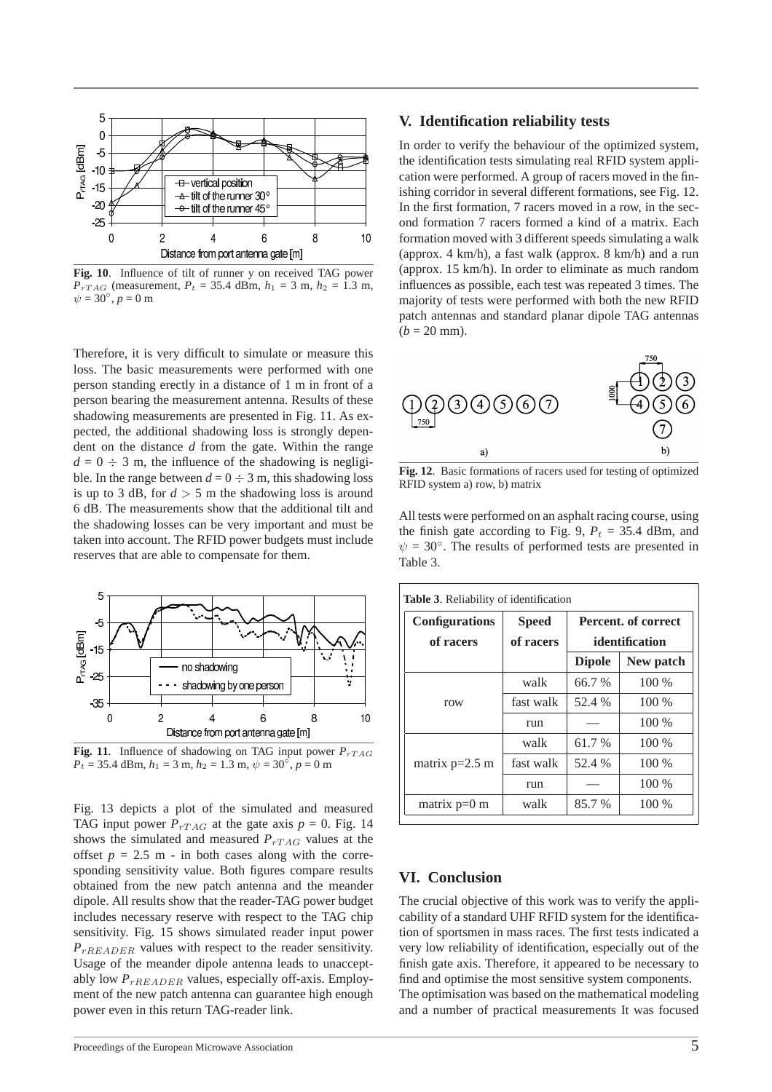

**Fig. 10**. Influence of tilt of runner y on received TAG power *P*<sub>rTAG</sub> (measurement, *P*<sub>t</sub> = 35.4 dBm, *h*<sub>1</sub> = 3 m, *h*<sub>2</sub> = 1.3 m,  $\psi = 30^{\circ}, p = 0 \text{ m}$ 

Therefore, it is very difficult to simulate or measure this loss. The basic measurements were performed with one person standing erectly in a distance of 1 m in front of a person bearing the measurement antenna. Results of these shadowing measurements are presented in Fig. 11. As expected, the additional shadowing loss is strongly dependent on the distance *d* from the gate. Within the range  $d = 0 \div 3$  m, the influence of the shadowing is negligible. In the range between  $d = 0 \div 3$  m, this shadowing loss is up to 3 dB, for  $d > 5$  m the shadowing loss is around 6 dB. The measurements show that the additional tilt and the shadowing losses can be very important and must be taken into account. The RFID power budgets must include reserves that are able to compensate for them.



**Fig. 11**. Influence of shadowing on TAG input power  $P_{TTAG}$  $P_t = 35.4$  dBm,  $h_1 = 3$  m,  $h_2 = 1.3$  m,  $\psi = 30^\circ$ ,  $p = 0$  m

Fig. 13 depicts a plot of the simulated and measured TAG input power  $P_{rTAG}$  at the gate axis  $p = 0$ . Fig. 14 shows the simulated and measured  $P_{TTAG}$  values at the offset  $p = 2.5$  m - in both cases along with the corresponding sensitivity value. Both figures compare results obtained from the new patch antenna and the meander dipole. All results show that the reader-TAG power budget includes necessary reserve with respect to the TAG chip sensitivity. Fig. 15 shows simulated reader input power *P*<sub>rREADER</sub> values with respect to the reader sensitivity. Usage of the meander dipole antenna leads to unacceptably low  $P_{rREADER}$  values, especially off-axis. Employment of the new patch antenna can guarantee high enough power even in this return TAG-reader link.

### **V. Identification reliability tests**

In order to verify the behaviour of the optimized system, the identification tests simulating real RFID system application were performed. A group of racers moved in the finishing corridor in several different formations, see Fig. 12. In the first formation, 7 racers moved in a row, in the second formation 7 racers formed a kind of a matrix. Each formation moved with 3 different speeds simulating a walk (approx. 4 km/h), a fast walk (approx. 8 km/h) and a run (approx. 15 km/h). In order to eliminate as much random influences as possible, each test was repeated 3 times. The majority of tests were performed with both the new RFID patch antennas and standard planar dipole TAG antennas  $(b = 20$  mm).



**Fig. 12**. Basic formations of racers used for testing of optimized RFID system a) row, b) matrix

All tests were performed on an asphalt racing course, using the finish gate according to Fig. 9,  $P_t = 35.4$  dBm, and  $\psi = 30^\circ$ . The results of performed tests are presented in Table 3.

| <b>Configurations</b><br>of racers | <b>Speed</b><br>of racers | Percent. of correct<br>identification |           |
|------------------------------------|---------------------------|---------------------------------------|-----------|
|                                    |                           | <b>Dipole</b>                         | New patch |
| row                                | walk                      | 66.7 %                                | $100\%$   |
|                                    | fast walk                 | 52.4 %                                | $100\%$   |
|                                    | run                       |                                       | $100\%$   |
| matrix $p=2.5$ m                   | walk                      | 61.7 %                                | $100\%$   |
|                                    | fast walk                 | 52.4 %                                | 100 %     |
|                                    | run                       |                                       | $100\%$   |
| matrix $p=0$ m                     | walk                      | 85.7 %                                | $100\%$   |

## **VI. Conclusion**

The crucial objective of this work was to verify the applicability of a standard UHF RFID system for the identification of sportsmen in mass races. The first tests indicated a very low reliability of identification, especially out of the finish gate axis. Therefore, it appeared to be necessary to find and optimise the most sensitive system components. The optimisation was based on the mathematical modeling and a number of practical measurements It was focused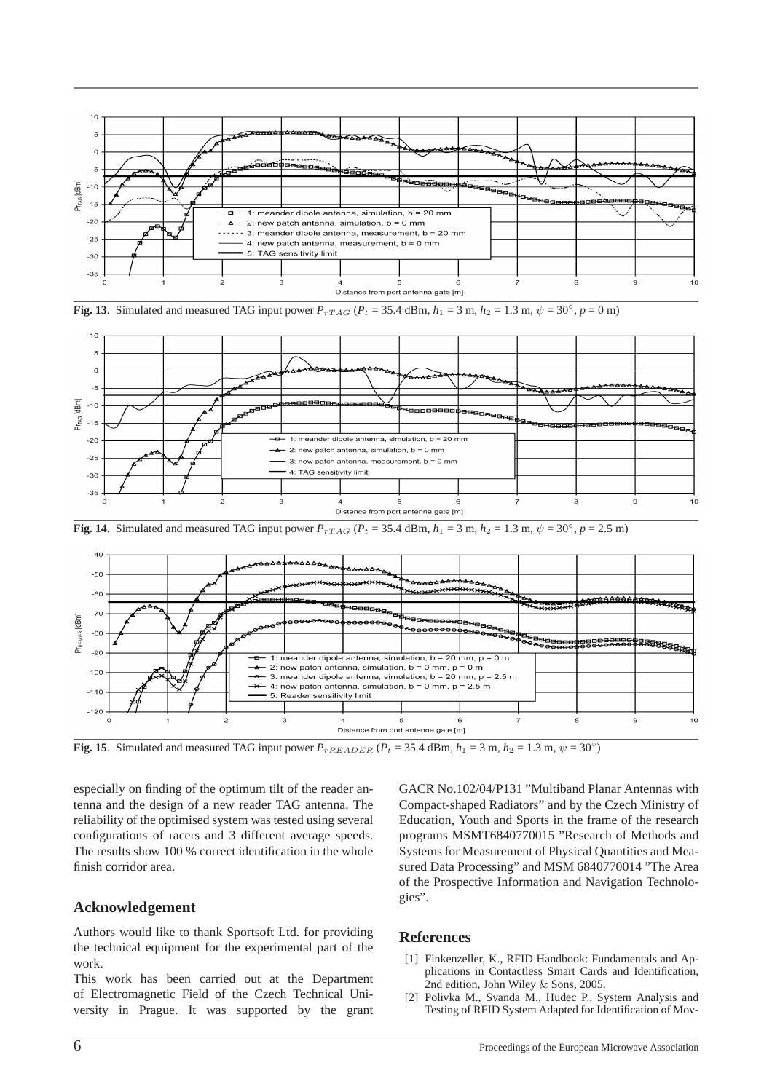

**Fig. 13**. Simulated and measured TAG input power  $P_{rTAG}$  ( $P_t = 35.4$  dBm,  $h_1 = 3$  m,  $h_2 = 1.3$  m,  $\psi = 30^\circ$ ,  $p = 0$  m)



**Fig. 14**. Simulated and measured TAG input power  $P_{rTAG}$  ( $P_t = 35.4$  dBm,  $h_1 = 3$  m,  $h_2 = 1.3$  m,  $\psi = 30^\circ$ ,  $p = 2.5$  m)



**Fig. 15**. Simulated and measured TAG input power  $P_{rREDEDER}$  ( $P_t = 35.4$  dBm,  $h_1 = 3$  m,  $h_2 = 1.3$  m,  $\psi = 30°$ )

especially on finding of the optimum tilt of the reader antenna and the design of a new reader TAG antenna. The reliability of the optimised system was tested using several configurations of racers and 3 different average speeds. The results show 100 % correct identification in the whole finish corridor area.

## **Acknowledgement**

Authors would like to thank Sportsoft Ltd. for providing the technical equipment for the experimental part of the work.

This work has been carried out at the Department of Electromagnetic Field of the Czech Technical University in Prague. It was supported by the grant GACR No.102/04/P131 "Multiband Planar Antennas with Compact-shaped Radiators" and by the Czech Ministry of Education, Youth and Sports in the frame of the research programs MSMT6840770015 "Research of Methods and Systems for Measurement of Physical Quantities and Measured Data Processing" and MSM 6840770014 "The Area of the Prospective Information and Navigation Technologies".

#### **References**

- [1] Finkenzeller, K., RFID Handbook: Fundamentals and Applications in Contactless Smart Cards and Identification, 2nd edition, John Wiley & Sons, 2005.
- [2] Polivka M., Svanda M., Hudec P., System Analysis and Testing of RFID System Adapted for Identification of Mov-